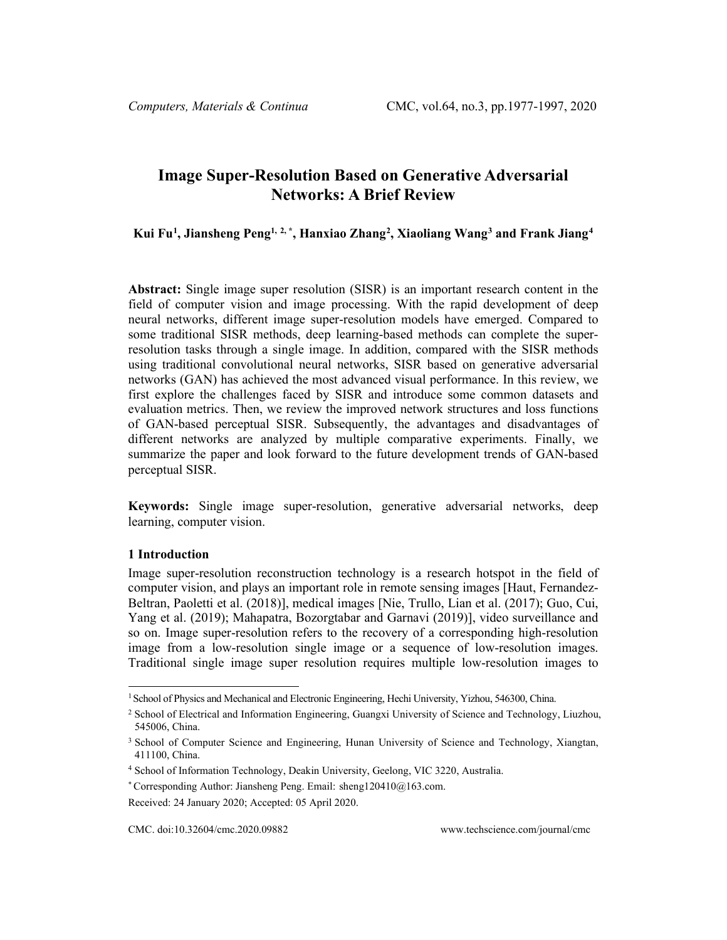# **Image Super-Resolution Based on Generative Adversarial Networks: A Brief Review**

**Kui Fu[1](#page-0-0) , Jiansheng Peng1, 2, \* , Hanxiao Zhang[2](#page-0-1) , Xiaoliang Wang[3](#page-0-2) and Frank Jiang[4](#page-0-3)**

**Abstract:** Single image super resolution (SISR) is an important research content in the field of computer vision and image processing. With the rapid development of deep neural networks, different image super-resolution models have emerged. Compared to some traditional SISR methods, deep learning-based methods can complete the superresolution tasks through a single image. In addition, compared with the SISR methods using traditional convolutional neural networks, SISR based on generative adversarial networks (GAN) has achieved the most advanced visual performance. In this review, we first explore the challenges faced by SISR and introduce some common datasets and evaluation metrics. Then, we review the improved network structures and loss functions of GAN-based perceptual SISR. Subsequently, the advantages and disadvantages of different networks are analyzed by multiple comparative experiments. Finally, we summarize the paper and look forward to the future development trends of GAN-based perceptual SISR.

**Keywords:** Single image super-resolution, generative adversarial networks, deep learning, computer vision.

### **1 Introduction**

Image super-resolution reconstruction technology is a research hotspot in the field of computer vision, and plays an important role in remote sensing images [Haut, Fernandez-Beltran, Paoletti et al. (2018)], medical images [Nie, Trullo, Lian et al. (2017); Guo, Cui, Yang et al. (2019); Mahapatra, Bozorgtabar and Garnavi (2019)], video surveillance and so on. Image super-resolution refers to the recovery of a corresponding high-resolution image from a low-resolution single image or a sequence of low-resolution images. Traditional single image super resolution requires multiple low-resolution images to

<span id="page-0-0"></span><sup>1</sup> School of Physics and Mechanical and Electronic Engineering, Hechi University, Yizhou, 546300, China.

<span id="page-0-1"></span><sup>2</sup> School of Electrical and Information Engineering, Guangxi University of Science and Technology, Liuzhou, 545006, China.

<span id="page-0-2"></span><sup>&</sup>lt;sup>3</sup> School of Computer Science and Engineering, Hunan University of Science and Technology, Xiangtan, 411100, China.

<span id="page-0-3"></span><sup>4</sup> School of Information Technology, Deakin University, Geelong, VIC 3220, Australia.

<sup>\*</sup> Corresponding Author: Jiansheng Peng. Email: sheng120410@163.com.

Received: 24 January 2020; Accepted: 05 April 2020.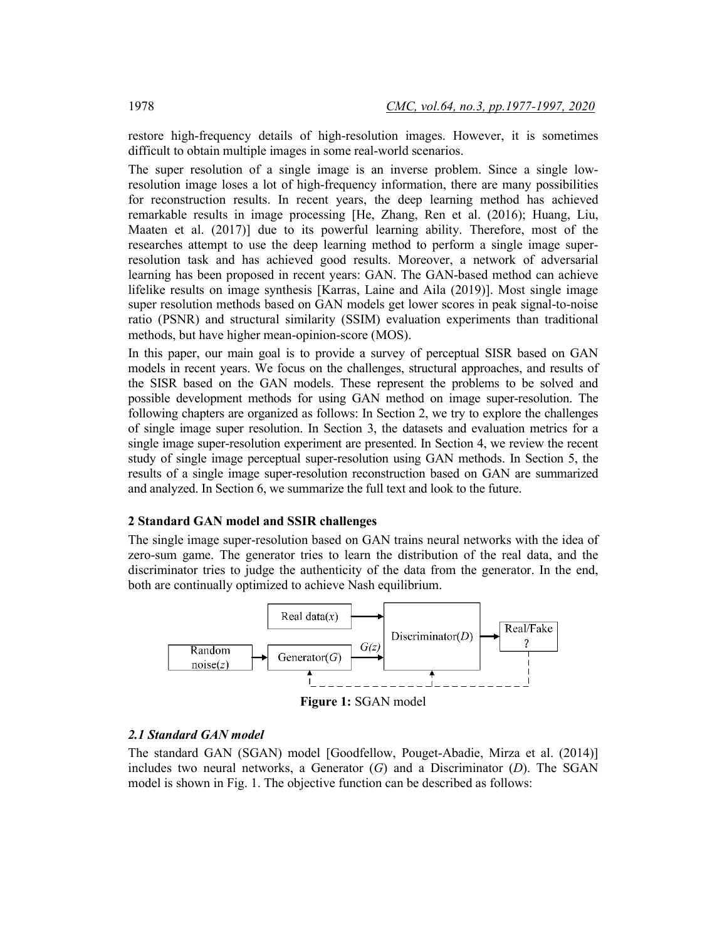restore high-frequency details of high-resolution images. However, it is sometimes difficult to obtain multiple images in some real-world scenarios.

The super resolution of a single image is an inverse problem. Since a single lowresolution image loses a lot of high-frequency information, there are many possibilities for reconstruction results. In recent years, the deep learning method has achieved remarkable results in image processing [He, Zhang, Ren et al. (2016); Huang, Liu, Maaten et al. (2017)] due to its powerful learning ability. Therefore, most of the researches attempt to use the deep learning method to perform a single image superresolution task and has achieved good results. Moreover, a network of adversarial learning has been proposed in recent years: GAN. The GAN-based method can achieve lifelike results on image synthesis [Karras, Laine and Aila (2019)]. Most single image super resolution methods based on GAN models get lower scores in peak signal-to-noise ratio (PSNR) and structural similarity (SSIM) evaluation experiments than traditional methods, but have higher mean-opinion-score (MOS).

In this paper, our main goal is to provide a survey of perceptual SISR based on GAN models in recent years. We focus on the challenges, structural approaches, and results of the SISR based on the GAN models. These represent the problems to be solved and possible development methods for using GAN method on image super-resolution. The following chapters are organized as follows: In Section 2, we try to explore the challenges of single image super resolution. In Section 3, the datasets and evaluation metrics for a single image super-resolution experiment are presented. In Section 4, we review the recent study of single image perceptual super-resolution using GAN methods. In Section 5, the results of a single image super-resolution reconstruction based on GAN are summarized and analyzed. In Section 6, we summarize the full text and look to the future.

### **2 Standard GAN model and SSIR challenges**

The single image super-resolution based on GAN trains neural networks with the idea of zero-sum game. The generator tries to learn the distribution of the real data, and the discriminator tries to judge the authenticity of the data from the generator. In the end, both are continually optimized to achieve Nash equilibrium.



### *2.1 Standard GAN model*

The standard GAN (SGAN) model [Goodfellow, Pouget-Abadie, Mirza et al. (2014)] includes two neural networks, a Generator  $(G)$  and a Discriminator  $(D)$ . The SGAN model is shown in Fig. 1. The objective function can be described as follows: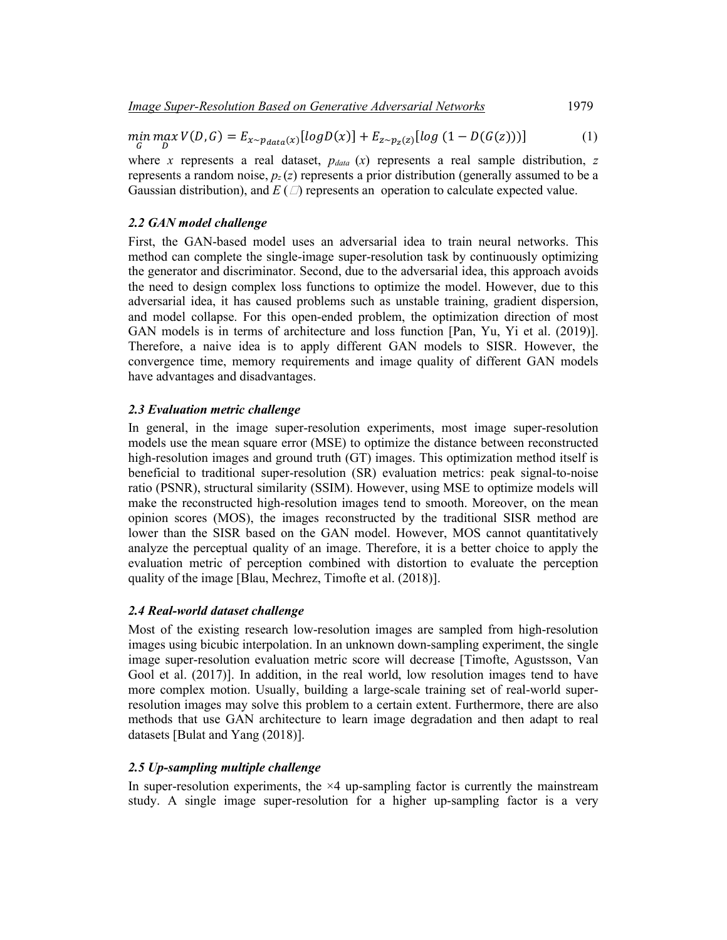$$
\min_{G} \max_{D} V(D, G) = E_{x \sim p_{data}(x)} [log D(x)] + E_{z \sim p_{z}(z)} [log (1 - D(G(z)))] \tag{1}
$$

where *x* represents a real dataset,  $p_{data}(x)$  represents a real sample distribution, *z* represents a random noise,  $p_z(z)$  represents a prior distribution (generally assumed to be a Gaussian distribution), and  $E(\Box)$  represents an operation to calculate expected value.

## *2.2 GAN model challenge*

First, the GAN-based model uses an adversarial idea to train neural networks. This method can complete the single-image super-resolution task by continuously optimizing the generator and discriminator. Second, due to the adversarial idea, this approach avoids the need to design complex loss functions to optimize the model. However, due to this adversarial idea, it has caused problems such as unstable training, gradient dispersion, and model collapse. For this open-ended problem, the optimization direction of most GAN models is in terms of architecture and loss function [Pan, Yu, Yi et al. (2019)]. Therefore, a naive idea is to apply different GAN models to SISR. However, the convergence time, memory requirements and image quality of different GAN models have advantages and disadvantages.

## *2.3 Evaluation metric challenge*

In general, in the image super-resolution experiments, most image super-resolution models use the mean square error (MSE) to optimize the distance between reconstructed high-resolution images and ground truth (GT) images. This optimization method itself is beneficial to traditional super-resolution (SR) evaluation metrics: peak signal-to-noise ratio (PSNR), structural similarity (SSIM). However, using MSE to optimize models will make the reconstructed high-resolution images tend to smooth. Moreover, on the mean opinion scores (MOS), the images reconstructed by the traditional SISR method are lower than the SISR based on the GAN model. However, MOS cannot quantitatively analyze the perceptual quality of an image. Therefore, it is a better choice to apply the evaluation metric of perception combined with distortion to evaluate the perception quality of the image [Blau, Mechrez, Timofte et al. (2018)].

## *2.4 Real-world dataset challenge*

Most of the existing research low-resolution images are sampled from high-resolution images using bicubic interpolation. In an unknown down-sampling experiment, the single image super-resolution evaluation metric score will decrease [Timofte, Agustsson, Van Gool et al. (2017)]. In addition, in the real world, low resolution images tend to have more complex motion. Usually, building a large-scale training set of real-world superresolution images may solve this problem to a certain extent. Furthermore, there are also methods that use GAN architecture to learn image degradation and then adapt to real datasets [Bulat and Yang (2018)].

## *2.5 Up-sampling multiple challenge*

In super-resolution experiments, the  $\times$ 4 up-sampling factor is currently the mainstream study. A single image super-resolution for a higher up-sampling factor is a very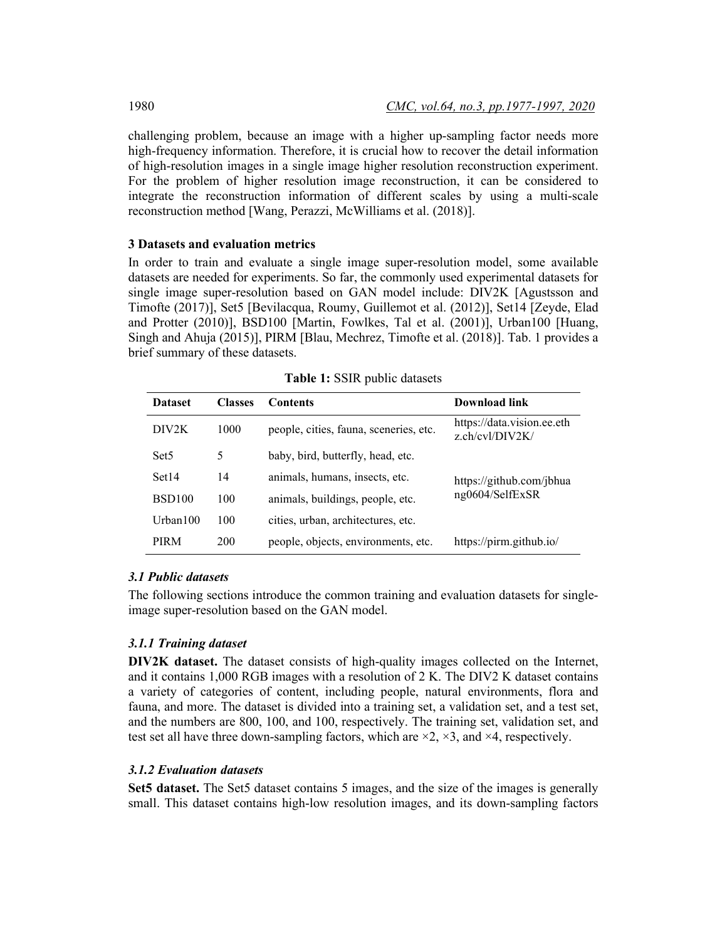challenging problem, because an image with a higher up-sampling factor needs more high-frequency information. Therefore, it is crucial how to recover the detail information of high-resolution images in a single image higher resolution reconstruction experiment. For the problem of higher resolution image reconstruction, it can be considered to integrate the reconstruction information of different scales by using a multi-scale reconstruction method [Wang, Perazzi, McWilliams et al. (2018)].

## **3 Datasets and evaluation metrics**

In order to train and evaluate a single image super-resolution model, some available datasets are needed for experiments. So far, the commonly used experimental datasets for single image super-resolution based on GAN model include: DIV2K [Agustsson and Timofte (2017)], Set5 [Bevilacqua, Roumy, Guillemot et al. (2012)], Set14 [Zeyde, Elad and Protter (2010)], BSD100 [Martin, Fowlkes, Tal et al. (2001)], Urban100 [Huang, Singh and Ahuja (2015)], PIRM [Blau, Mechrez, Timofte et al. (2018)]. Tab. 1 provides a brief summary of these datasets.

| <b>Dataset</b>     | <b>Classes</b> | <b>Contents</b>                        | Download link                                 |
|--------------------|----------------|----------------------------------------|-----------------------------------------------|
| DIV <sub>2</sub> K | 1000           | people, cities, fauna, sceneries, etc. | https://data.vision.ee.eth<br>z.ch/cvl/DIV2K/ |
| Set <sub>5</sub>   | 5              | baby, bird, butterfly, head, etc.      |                                               |
| Set <sub>14</sub>  | 14             | animals, humans, insects, etc.         | https://github.com/jbhua                      |
| BSD <sub>100</sub> | 100            | animals, buildings, people, etc.       | ng0604/SelfExSR                               |
| Urban $100$        | 100            | cities, urban, architectures, etc.     |                                               |
| <b>PIRM</b>        | 200            | people, objects, environments, etc.    | https://pirm.github.io/                       |

**Table 1:** SSIR public datasets

## *3.1 Public datasets*

The following sections introduce the common training and evaluation datasets for singleimage super-resolution based on the GAN model.

## *3.1.1 Training dataset*

**DIV2K dataset.** The dataset consists of high-quality images collected on the Internet, and it contains 1,000 RGB images with a resolution of 2 K. The DIV2 K dataset contains a variety of categories of content, including people, natural environments, flora and fauna, and more. The dataset is divided into a training set, a validation set, and a test set, and the numbers are 800, 100, and 100, respectively. The training set, validation set, and test set all have three down-sampling factors, which are  $\times 2$ ,  $\times 3$ , and  $\times 4$ , respectively.

## *3.1.2 Evaluation datasets*

**Set5 dataset.** The Set5 dataset contains 5 images, and the size of the images is generally small. This dataset contains high-low resolution images, and its down-sampling factors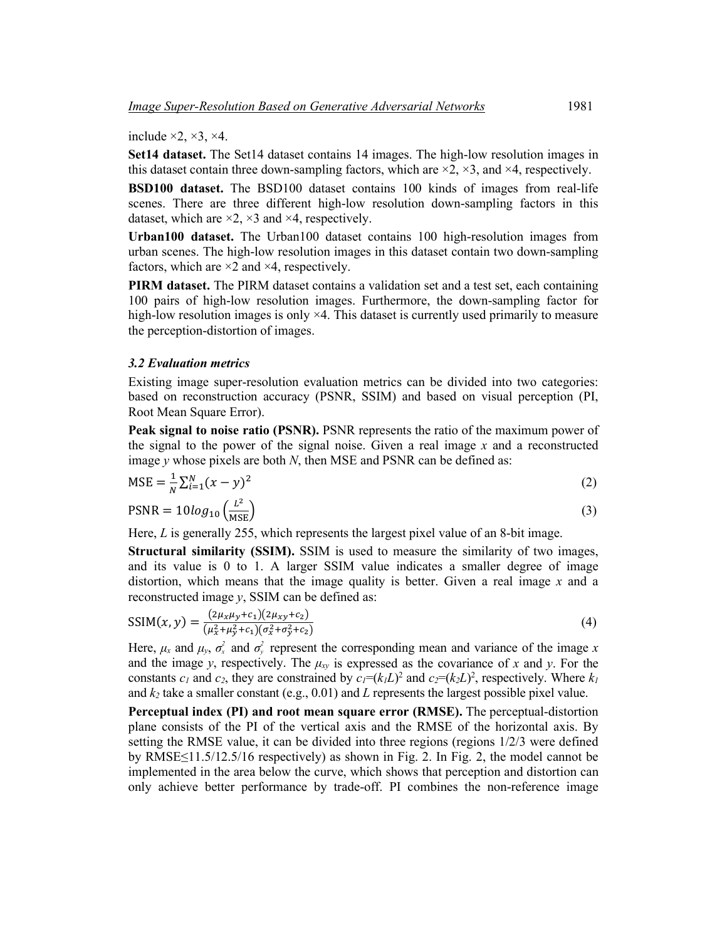include  $\times 2$ ,  $\times 3$ ,  $\times 4$ .

**Set14 dataset.** The Set14 dataset contains 14 images. The high-low resolution images in this dataset contain three down-sampling factors, which are  $\times$ 2,  $\times$ 3, and  $\times$ 4, respectively.

**BSD100 dataset.** The BSD100 dataset contains 100 kinds of images from real-life scenes. There are three different high-low resolution down-sampling factors in this dataset, which are  $\times$ 2,  $\times$ 3 and  $\times$ 4, respectively.

**Urban100 dataset.** The Urban100 dataset contains 100 high-resolution images from urban scenes. The high-low resolution images in this dataset contain two down-sampling factors, which are  $\times 2$  and  $\times 4$ , respectively.

**PIRM dataset.** The PIRM dataset contains a validation set and a test set, each containing 100 pairs of high-low resolution images. Furthermore, the down-sampling factor for high-low resolution images is only  $\times$ 4. This dataset is currently used primarily to measure the perception-distortion of images.

### *3.2 Evaluation metrics*

Existing image super-resolution evaluation metrics can be divided into two categories: based on reconstruction accuracy (PSNR, SSIM) and based on visual perception (PI, Root Mean Square Error).

**Peak signal to noise ratio (PSNR).** PSNR represents the ratio of the maximum power of the signal to the power of the signal noise. Given a real image *x* and a reconstructed image *y* whose pixels are both *N*, then MSE and PSNR can be defined as:

$$
MSE = \frac{1}{N} \sum_{i=1}^{N} (x - y)^2
$$
  
\n
$$
PSNR = 10 \log_{10} \left( \frac{L^2}{MSE} \right)
$$
 (2)

Here, *L* is generally 255, which represents the largest pixel value of an 8-bit image.

**Structural similarity (SSIM).** SSIM is used to measure the similarity of two images, and its value is 0 to 1. A larger SSIM value indicates a smaller degree of image distortion, which means that the image quality is better. Given a real image *x* and a reconstructed image *y*, SSIM can be defined as:

$$
SSIM(x, y) = \frac{(2\mu_x \mu_y + c_1)(2\mu_{xy} + c_2)}{(\mu_x^2 + \mu_y^2 + c_1)(\sigma_x^2 + \sigma_y^2 + c_2)}
$$
(4)

Here,  $\mu_x$  and  $\mu_y$ ,  $\sigma_x^2$  and  $\sigma_y^2$  represent the corresponding mean and variance of the image *x* and the image *y*, respectively. The  $\mu_{xy}$  is expressed as the covariance of *x* and *y*. For the constants  $c_1$  and  $c_2$ , they are constrained by  $c_1 = (k_1L)^2$  and  $c_2 = (k_2L)^2$ , respectively. Where  $k_1$ and *k2* take a smaller constant (e.g., 0.01) and *L* represents the largest possible pixel value.

**Perceptual index (PI) and root mean square error (RMSE).** The perceptual-distortion plane consists of the PI of the vertical axis and the RMSE of the horizontal axis. By setting the RMSE value, it can be divided into three regions (regions 1/2/3 were defined by RMSE≤11.5/12.5/16 respectively) as shown in Fig. 2. In Fig. 2, the model cannot be implemented in the area below the curve, which shows that perception and distortion can only achieve better performance by trade-off. PI combines the non-reference image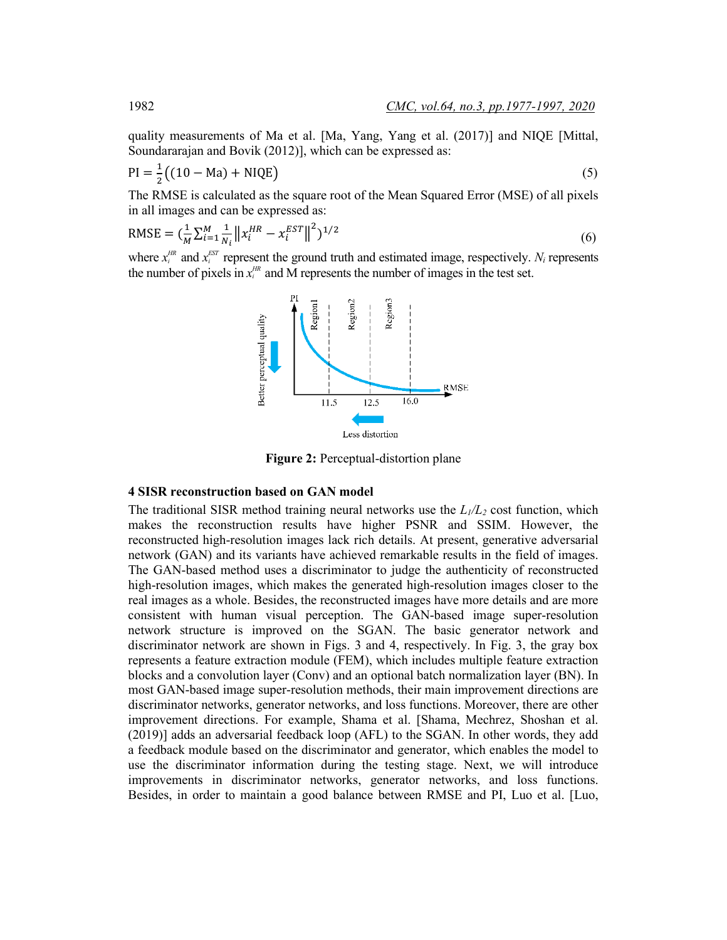quality measurements of Ma et al. [Ma, Yang, Yang et al. (2017)] and NIQE [Mittal, Soundararajan and Bovik (2012)], which can be expressed as:

$$
PI = \frac{1}{2} \left( (10 - Ma) + NIQE \right)
$$
 (5)

The RMSE is calculated as the square root of the Mean Squared Error (MSE) of all pixels in all images and can be expressed as:

RMSE = 
$$
(\frac{1}{M} \sum_{i=1}^{M} \frac{1}{N_i} ||x_i^{HR} - x_i^{EST}||^2)^{1/2}
$$
 (6)

where  $x_i^{HR}$  and  $x_i^{EST}$  represent the ground truth and estimated image, respectively.  $N_i$  represents the number of pixels in  $x_i^{\text{HR}}$  and M represents the number of images in the test set.



**Figure 2:** Perceptual-distortion plane

### **4 SISR reconstruction based on GAN model**

The traditional SISR method training neural networks use the  $L_1/L_2$  cost function, which makes the reconstruction results have higher PSNR and SSIM. However, the reconstructed high-resolution images lack rich details. At present, generative adversarial network (GAN) and its variants have achieved remarkable results in the field of images. The GAN-based method uses a discriminator to judge the authenticity of reconstructed high-resolution images, which makes the generated high-resolution images closer to the real images as a whole. Besides, the reconstructed images have more details and are more consistent with human visual perception. The GAN-based image super-resolution network structure is improved on the SGAN. The basic generator network and discriminator network are shown in Figs. 3 and 4, respectively. In Fig. 3, the gray box represents a feature extraction module (FEM), which includes multiple feature extraction blocks and a convolution layer (Conv) and an optional batch normalization layer (BN). In most GAN-based image super-resolution methods, their main improvement directions are discriminator networks, generator networks, and loss functions. Moreover, there are other improvement directions. For example, Shama et al. [Shama, Mechrez, Shoshan et al. (2019)] adds an adversarial feedback loop (AFL) to the SGAN. In other words, they add a feedback module based on the discriminator and generator, which enables the model to use the discriminator information during the testing stage. Next, we will introduce improvements in discriminator networks, generator networks, and loss functions. Besides, in order to maintain a good balance between RMSE and PI, Luo et al. [Luo,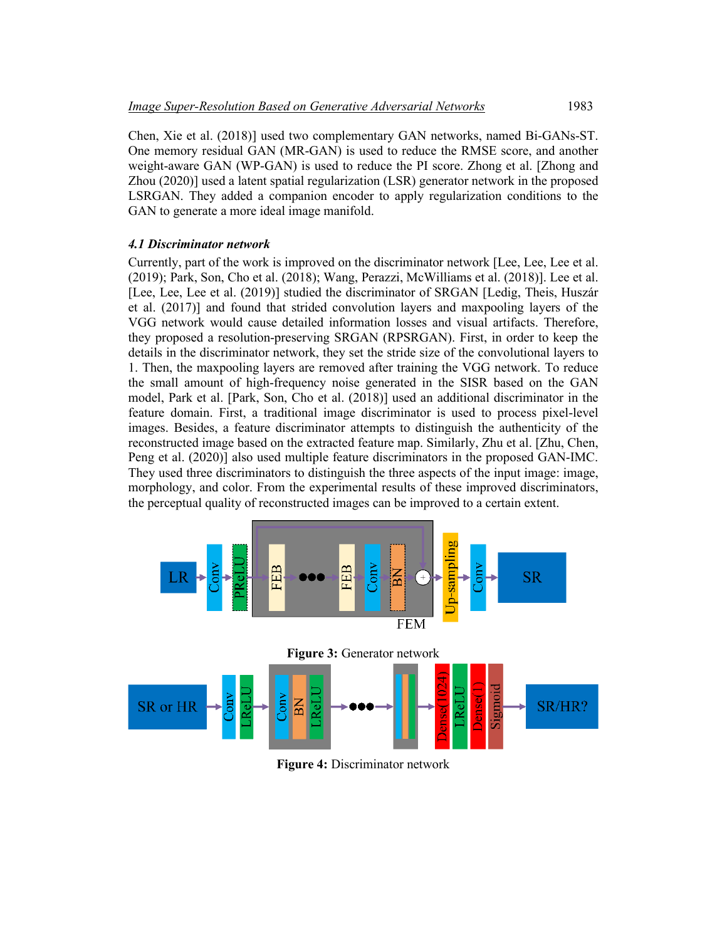Chen, Xie et al. (2018)] used two complementary GAN networks, named Bi-GANs-ST. One memory residual GAN (MR-GAN) is used to reduce the RMSE score, and another weight-aware GAN (WP-GAN) is used to reduce the PI score. Zhong et al. [Zhong and Zhou (2020)] used a latent spatial regularization (LSR) generator network in the proposed LSRGAN. They added a companion encoder to apply regularization conditions to the GAN to generate a more ideal image manifold.

## *4.1 Discriminator network*

Currently, part of the work is improved on the discriminator network [Lee, Lee, Lee et al. (2019); Park, Son, Cho et al. (2018); Wang, Perazzi, McWilliams et al. (2018)]. Lee et al. [Lee, Lee, Lee et al. (2019)] studied the discriminator of SRGAN [Ledig, Theis, Huszár et al. (2017)] and found that strided convolution layers and maxpooling layers of the VGG network would cause detailed information losses and visual artifacts. Therefore, they proposed a resolution-preserving SRGAN (RPSRGAN). First, in order to keep the details in the discriminator network, they set the stride size of the convolutional layers to 1. Then, the maxpooling layers are removed after training the VGG network. To reduce the small amount of high-frequency noise generated in the SISR based on the GAN model, Park et al. [Park, Son, Cho et al. (2018)] used an additional discriminator in the feature domain. First, a traditional image discriminator is used to process pixel-level images. Besides, a feature discriminator attempts to distinguish the authenticity of the reconstructed image based on the extracted feature map. Similarly, Zhu et al. [Zhu, Chen, Peng et al. (2020)] also used multiple feature discriminators in the proposed GAN-IMC. They used three discriminators to distinguish the three aspects of the input image: image, morphology, and color. From the experimental results of these improved discriminators, the perceptual quality of reconstructed images can be improved to a certain extent.



**Figure 4:** Discriminator network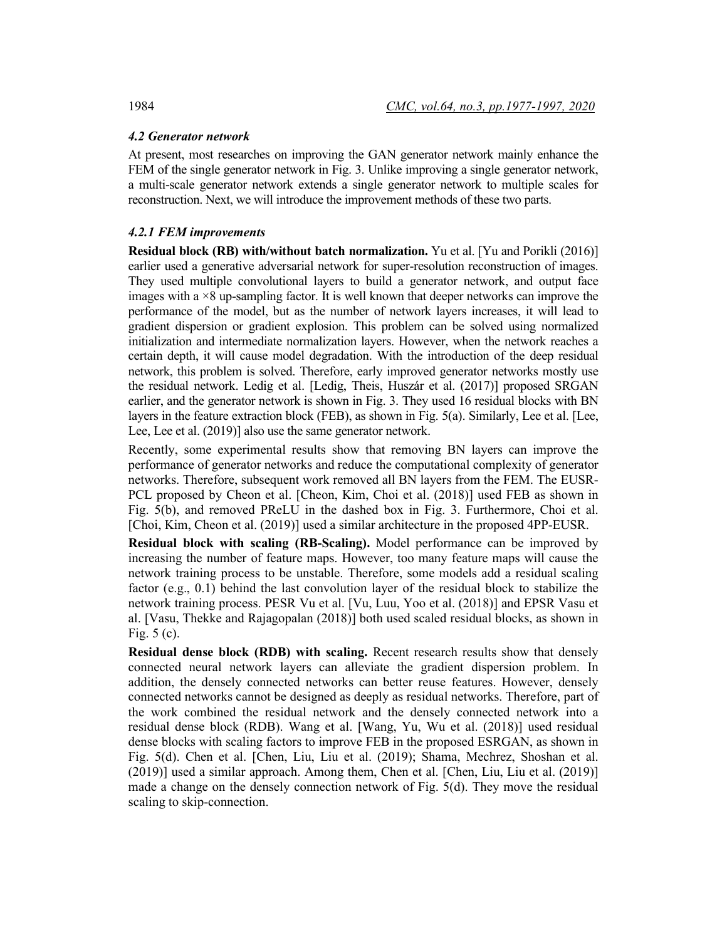## *4.2 Generator network*

At present, most researches on improving the GAN generator network mainly enhance the FEM of the single generator network in Fig. 3. Unlike improving a single generator network, a multi-scale generator network extends a single generator network to multiple scales for reconstruction. Next, we will introduce the improvement methods of these two parts.

## *4.2.1 FEM improvements*

**Residual block (RB) with/without batch normalization.** Yu et al. [Yu and Porikli (2016)] earlier used a generative adversarial network for super-resolution reconstruction of images. They used multiple convolutional layers to build a generator network, and output face images with a  $\times$ 8 up-sampling factor. It is well known that deeper networks can improve the performance of the model, but as the number of network layers increases, it will lead to gradient dispersion or gradient explosion. This problem can be solved using normalized initialization and intermediate normalization layers. However, when the network reaches a certain depth, it will cause model degradation. With the introduction of the deep residual network, this problem is solved. Therefore, early improved generator networks mostly use the residual network. Ledig et al. [Ledig, Theis, Huszár et al. (2017)] proposed SRGAN earlier, and the generator network is shown in Fig. 3. They used 16 residual blocks with BN layers in the feature extraction block (FEB), as shown in Fig. 5(a). Similarly, Lee et al. [Lee, Lee, Lee et al. (2019)] also use the same generator network.

Recently, some experimental results show that removing BN layers can improve the performance of generator networks and reduce the computational complexity of generator networks. Therefore, subsequent work removed all BN layers from the FEM. The EUSR-PCL proposed by Cheon et al. [Cheon, Kim, Choi et al. (2018)] used FEB as shown in Fig. 5(b), and removed PReLU in the dashed box in Fig. 3. Furthermore, Choi et al. [Choi, Kim, Cheon et al. (2019)] used a similar architecture in the proposed 4PP-EUSR.

**Residual block with scaling (RB-Scaling).** Model performance can be improved by increasing the number of feature maps. However, too many feature maps will cause the network training process to be unstable. Therefore, some models add a residual scaling factor (e.g., 0.1) behind the last convolution layer of the residual block to stabilize the network training process. PESR Vu et al. [Vu, Luu, Yoo et al. (2018)] and EPSR Vasu et al. [Vasu, Thekke and Rajagopalan (2018)] both used scaled residual blocks, as shown in Fig. 5 (c).

**Residual dense block (RDB) with scaling.** Recent research results show that densely connected neural network layers can alleviate the gradient dispersion problem. In addition, the densely connected networks can better reuse features. However, densely connected networks cannot be designed as deeply as residual networks. Therefore, part of the work combined the residual network and the densely connected network into a residual dense block (RDB). Wang et al. [Wang, Yu, Wu et al. (2018)] used residual dense blocks with scaling factors to improve FEB in the proposed ESRGAN, as shown in Fig. 5(d). Chen et al. [Chen, Liu, Liu et al. (2019); Shama, Mechrez, Shoshan et al. (2019)] used a similar approach. Among them, Chen et al. [Chen, Liu, Liu et al. (2019)] made a change on the densely connection network of Fig. 5(d). They move the residual scaling to skip-connection.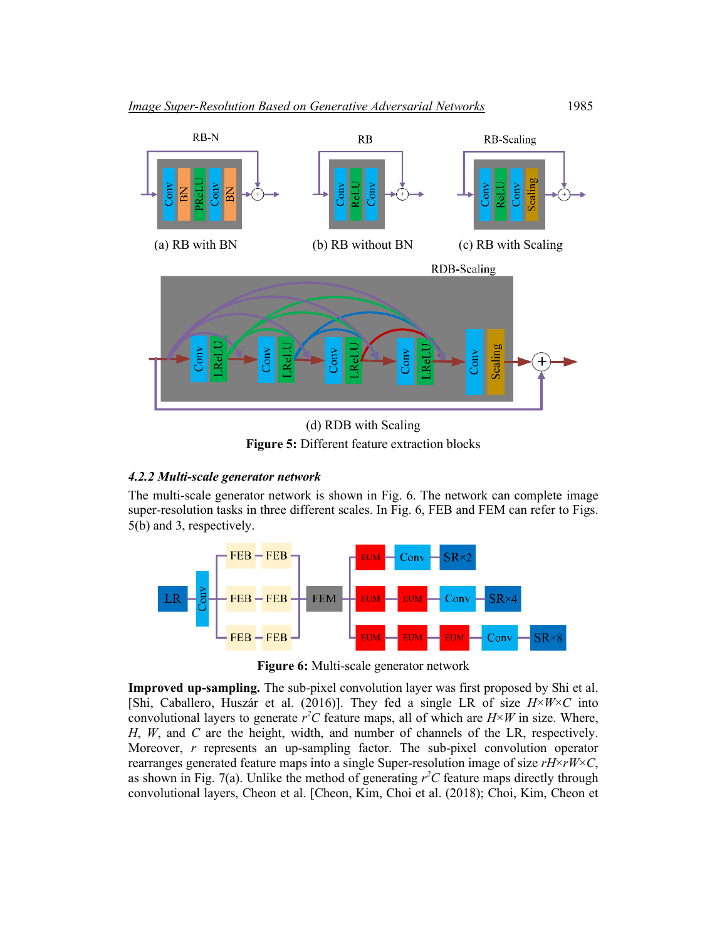

(d) RDB with Scaling **Figure 5:** Different feature extraction blocks

## *4.2.2 Multi-scale generator network*

The multi-scale generator network is shown in Fig. 6. The network can complete image super-resolution tasks in three different scales. In Fig. 6, FEB and FEM can refer to Figs. 5(b) and 3, respectively.



**Figure 6:** Multi-scale generator network

**Improved up-sampling.** The sub-pixel convolution layer was first proposed by Shi et al. [Shi, Caballero, Huszár et al. (2016)]. They fed a single LR of size  $H \times W \times C$  into convolutional layers to generate  $r^2C$  feature maps, all of which are  $H \times W$  in size. Where, *H*, *W*, and *C* are the height, width, and number of channels of the LR, respectively. Moreover, *r* represents an up-sampling factor. The sub-pixel convolution operator rearranges generated feature maps into a single Super-resolution image of size *rH*×*rW*×*C*, as shown in Fig. 7(a). Unlike the method of generating  $r^2C$  feature maps directly through convolutional layers, Cheon et al. [Cheon, Kim, Choi et al. (2018); Choi, Kim, Cheon et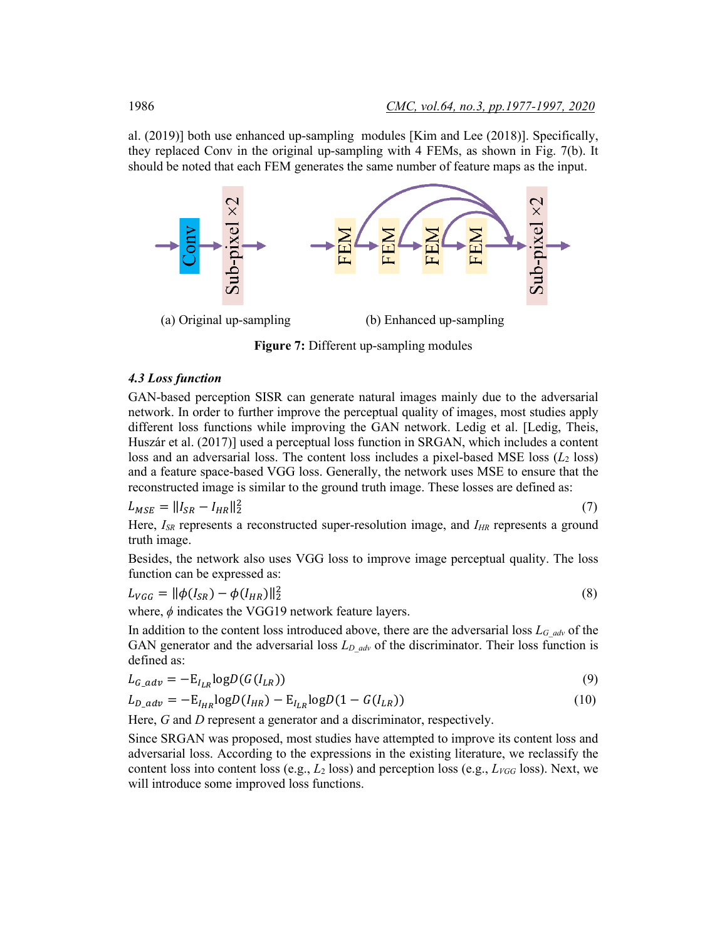al. (2019)] both use enhanced up-sampling modules [Kim and Lee (2018)]. Specifically, they replaced Conv in the original up-sampling with 4 FEMs, as shown in Fig. 7(b). It should be noted that each FEM generates the same number of feature maps as the input.



**Figure 7:** Different up-sampling modules

## *4.3 Loss function*

GAN-based perception SISR can generate natural images mainly due to the adversarial network. In order to further improve the perceptual quality of images, most studies apply different loss functions while improving the GAN network. Ledig et al. [Ledig, Theis, Huszár et al. (2017)] used a perceptual loss function in SRGAN, which includes a content loss and an adversarial loss. The content loss includes a pixel-based MSE loss  $(L_2 \text{ loss})$ and a feature space-based VGG loss. Generally, the network uses MSE to ensure that the reconstructed image is similar to the ground truth image. These losses are defined as:

$$
L_{MSE} = ||I_{SR} - I_{HR}||_2^2
$$
\n(7)

Here,  $I_{SR}$  represents a reconstructed super-resolution image, and  $I_{HR}$  represents a ground truth image.

Besides, the network also uses VGG loss to improve image perceptual quality. The loss function can be expressed as:

$$
L_{VGG} = ||\phi(I_{SR}) - \phi(I_{HR})||_2^2
$$
\n(8)

where, *ϕ* indicates the VGG19 network feature layers.

In addition to the content loss introduced above, there are the adversarial loss *LG\_adv* of the GAN generator and the adversarial loss  $L_{D\_adv}$  of the discriminator. Their loss function is defined as:

$$
L_{G\_adv} = -\mathcal{E}_{I_{LR}} \log D(G(I_{LR})) \tag{9}
$$

$$
L_{D\_adv} = -E_{I_{HR}} \log D(I_{HR}) - E_{I_{LR}} \log D(1 - G(I_{LR})) \tag{10}
$$

Here, *G* and *D* represent a generator and a discriminator, respectively.

Since SRGAN was proposed, most studies have attempted to improve its content loss and adversarial loss. According to the expressions in the existing literature, we reclassify the content loss into content loss (e.g.,  $L_2$  loss) and perception loss (e.g.,  $L_{VGG}$  loss). Next, we will introduce some improved loss functions.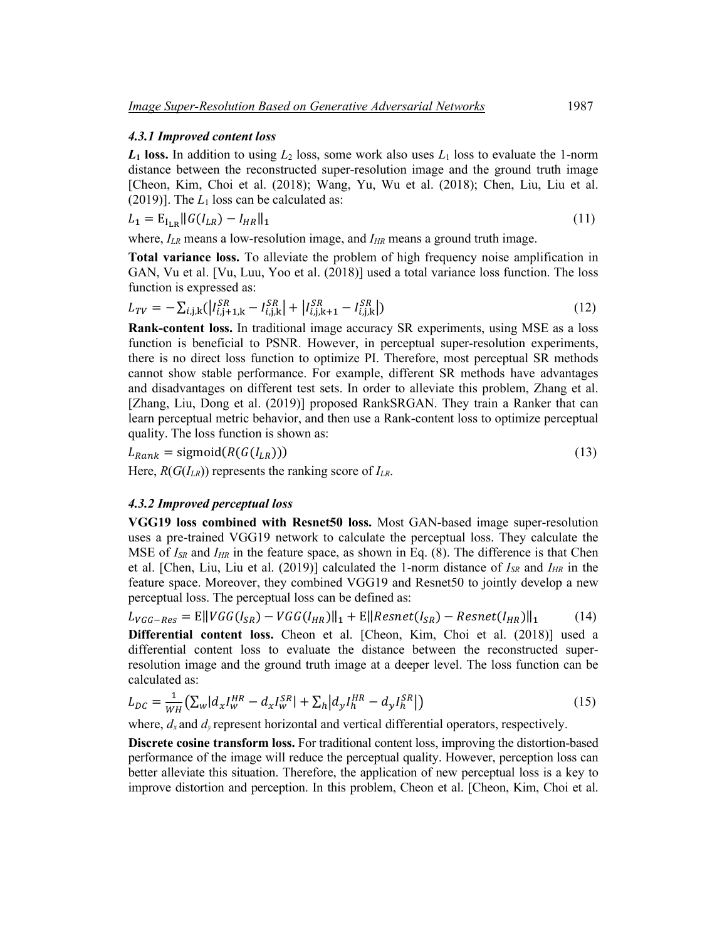### *4.3.1 Improved content loss*

 $L_1$  **loss.** In addition to using  $L_2$  loss, some work also uses  $L_1$  loss to evaluate the 1-norm distance between the reconstructed super-resolution image and the ground truth image [Cheon, Kim, Choi et al. (2018); Wang, Yu, Wu et al. (2018); Chen, Liu, Liu et al. (2019)]. The  $L_1$  loss can be calculated as:

$$
L_1 = \mathbf{E}_{I_{LR}} ||G(I_{LR}) - I_{HR}||_1
$$
\n(11)

where,  $I_{LR}$  means a low-resolution image, and  $I_{HR}$  means a ground truth image.

**Total variance loss.** To alleviate the problem of high frequency noise amplification in GAN, Vu et al. [Vu, Luu, Yoo et al. (2018)] used a total variance loss function. The loss function is expressed as:

$$
L_{TV} = -\sum_{i,j,k} (|I_{i,j+1,k}^{SR} - I_{i,j,k}^{SR}| + |I_{i,j,k+1}^{SR} - I_{i,j,k}^{SR}|) \tag{12}
$$

**Rank-content loss.** In traditional image accuracy SR experiments, using MSE as a loss function is beneficial to PSNR. However, in perceptual super-resolution experiments, there is no direct loss function to optimize PI. Therefore, most perceptual SR methods cannot show stable performance. For example, different SR methods have advantages and disadvantages on different test sets. In order to alleviate this problem, Zhang et al. [Zhang, Liu, Dong et al. (2019)] proposed RankSRGAN. They train a Ranker that can learn perceptual metric behavior, and then use a Rank-content loss to optimize perceptual quality. The loss function is shown as:

$$
L_{Rank} = \text{sigmoid}(R(G(I_{LR})))\tag{13}
$$

Here,  $R(G(I_{LR}))$  represents the ranking score of  $I_{LR}$ .

## *4.3.2 Improved perceptual loss*

**VGG19 loss combined with Resnet50 loss.** Most GAN-based image super-resolution uses a pre-trained VGG19 network to calculate the perceptual loss. They calculate the MSE of *I<sub>SR</sub>* and *I<sub>HR</sub>* in the feature space, as shown in Eq. (8). The difference is that Chen et al. [Chen, Liu, Liu et al. (2019)] calculated the 1-norm distance of *ISR* and *IHR* in the feature space. Moreover, they combined VGG19 and Resnet50 to jointly develop a new perceptual loss. The perceptual loss can be defined as:

$$
L_{VGG-Res} = \mathbb{E} \left\| VGG(I_{SR}) - VGG(I_{HR}) \right\|_1 + \mathbb{E} \left\| Resnet(I_{SR}) - Resnet(I_{HR}) \right\|_1 \tag{14}
$$

**Differential content loss.** Cheon et al. [Cheon, Kim, Choi et al. (2018)] used a differential content loss to evaluate the distance between the reconstructed superresolution image and the ground truth image at a deeper level. The loss function can be calculated as:

$$
L_{DC} = \frac{1}{WH} \left( \sum_{w} |d_x I_w^{HR} - d_x I_w^{SR}| + \sum_{h} |d_y I_h^{HR} - d_y I_h^{SR}| \right) \tag{15}
$$

where,  $d_x$  and  $d_y$  represent horizontal and vertical differential operators, respectively.

**Discrete cosine transform loss.** For traditional content loss, improving the distortion-based performance of the image will reduce the perceptual quality. However, perception loss can better alleviate this situation. Therefore, the application of new perceptual loss is a key to improve distortion and perception. In this problem, Cheon et al. [Cheon, Kim, Choi et al.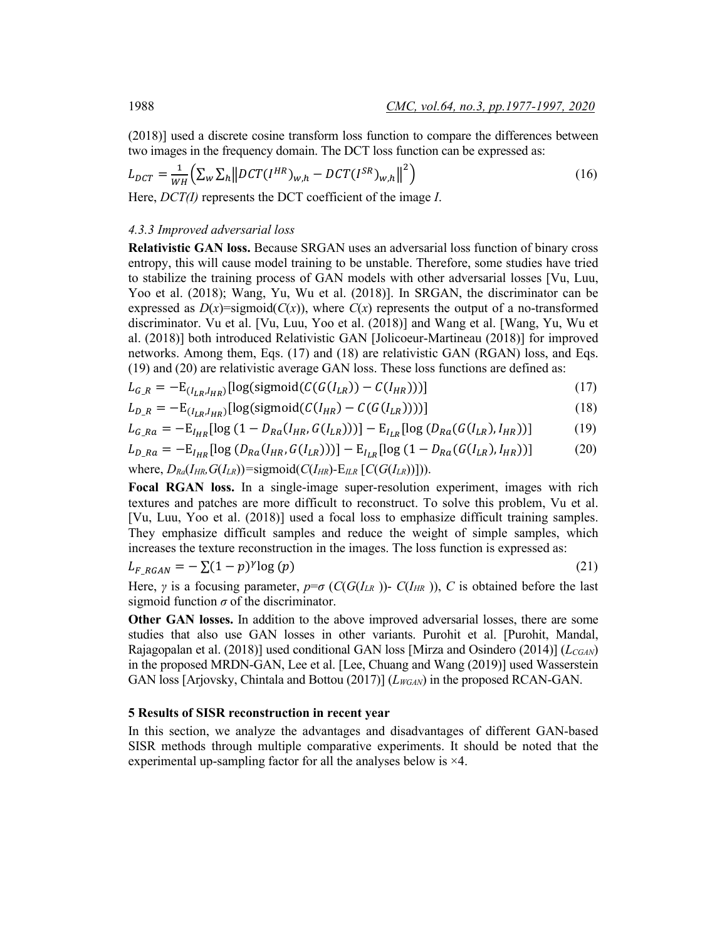(2018)] used a discrete cosine transform loss function to compare the differences between two images in the frequency domain. The DCT loss function can be expressed as:

$$
L_{DCT} = \frac{1}{WH} \left( \sum_{w} \sum_{h} \left\| DCT(I^{HR})_{w,h} - DCT(I^{SR})_{w,h} \right\|^2 \right) \tag{16}
$$

Here, *DCT(I)* represents the DCT coefficient of the image *I*.

### *4.3.3 Improved adversarial loss*

**Relativistic GAN loss.** Because SRGAN uses an adversarial loss function of binary cross entropy, this will cause model training to be unstable. Therefore, some studies have tried to stabilize the training process of GAN models with other adversarial losses [Vu, Luu, Yoo et al. (2018); Wang, Yu, Wu et al. (2018)]. In SRGAN, the discriminator can be expressed as  $D(x)$ =sigmoid( $C(x)$ ), where  $C(x)$  represents the output of a no-transformed discriminator. Vu et al. [Vu, Luu, Yoo et al. (2018)] and Wang et al. [Wang, Yu, Wu et al. (2018)] both introduced Relativistic GAN [Jolicoeur-Martineau (2018)] for improved networks. Among them, Eqs. (17) and (18) are relativistic GAN (RGAN) loss, and Eqs. (19) and (20) are relativistic average GAN loss. These loss functions are defined as:

$$
L_{G_R} = -\mathcal{E}_{(I_{LR}, I_{HR})}[\log(\text{sigmoid}(C(G(I_{LR})) - C(I_{HR})))]
$$
\n(17)

$$
L_{D_R} = -\mathcal{E}_{(I_{LR}, I_{HR})}[\log(\text{sigmoid}(C(I_{HR}) - C(G(I_{LR}))))]
$$
\n(18)

$$
L_{G_Ra} = -E_{I_{HR}}[\log(1 - D_{Ra}(I_{HR}, G(I_{LR})))] - E_{I_{LR}}[\log(D_{Ra}(G(I_{LR}), I_{HR}))]
$$
(19)

$$
L_{D_R a} = -E_{I_{HR}} [\log (D_{Ra} (I_{HR}, G(I_{LR})))] - E_{I_{LR}} [\log (1 - D_{Ra} (G(I_{LR}), I_{HR}))]
$$
(20)

where, 
$$
D_{Ra}(I_{HR}, G(I_{LR}))
$$
 =sigmoid( $C(I_{HR})$ - $E_{ILR}$  [ $C(G(I_{LR}))$ ]).

**Focal RGAN loss.** In a single-image super-resolution experiment, images with rich textures and patches are more difficult to reconstruct. To solve this problem, Vu et al. [Vu, Luu, Yoo et al. (2018)] used a focal loss to emphasize difficult training samples. They emphasize difficult samples and reduce the weight of simple samples, which increases the texture reconstruction in the images. The loss function is expressed as:

$$
L_{F\_RGAN} = -\sum (1-p)^{\gamma} \log(p) \tag{21}
$$

Here, *γ* is a focusing parameter,  $p = \sigma$  (*C*(*G*(*I<sub>LR</sub>*))- *C*(*I<sub>HR</sub>*)), *C* is obtained before the last sigmoid function  $\sigma$  of the discriminator.

**Other GAN losses.** In addition to the above improved adversarial losses, there are some studies that also use GAN losses in other variants. Purohit et al. [Purohit, Mandal, Rajagopalan et al. (2018)] used conditional GAN loss [Mirza and Osindero (2014)] (*L<sub>CGAN</sub>*) in the proposed MRDN-GAN, Lee et al. [Lee, Chuang and Wang (2019)] used Wasserstein GAN loss [Arjovsky, Chintala and Bottou (2017)] ( $L_{WGAN}$ ) in the proposed RCAN-GAN.

## **5 Results of SISR reconstruction in recent year**

In this section, we analyze the advantages and disadvantages of different GAN-based SISR methods through multiple comparative experiments. It should be noted that the experimental up-sampling factor for all the analyses below is ×4.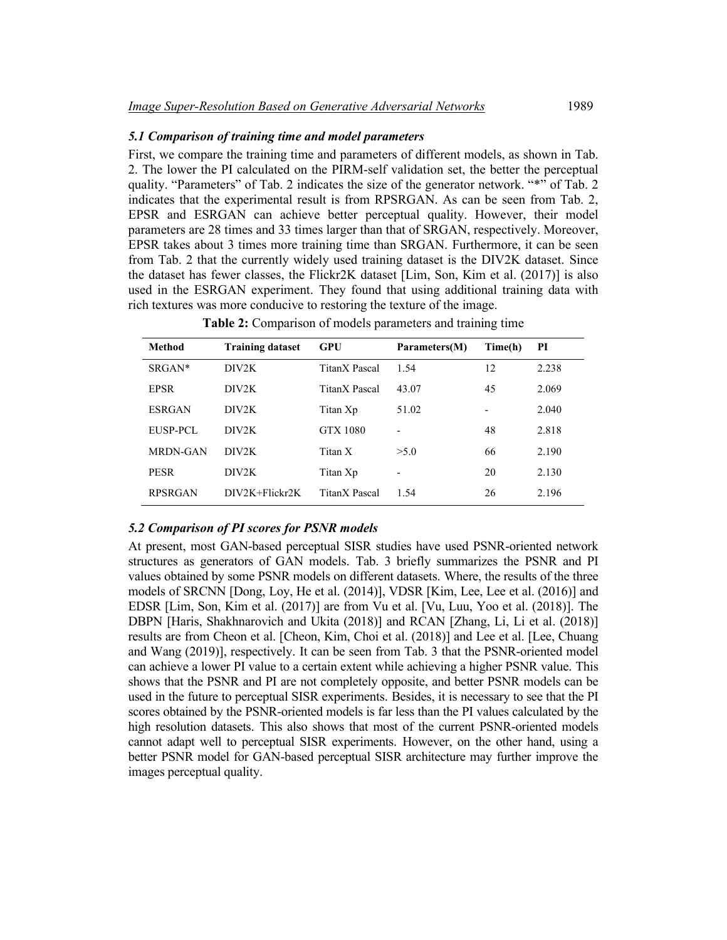## *5.1 Comparison of training time and model parameters*

First, we compare the training time and parameters of different models, as shown in Tab. 2. The lower the PI calculated on the PIRM-self validation set, the better the perceptual quality. "Parameters" of Tab. 2 indicates the size of the generator network. "\*" of Tab. 2 indicates that the experimental result is from RPSRGAN. As can be seen from Tab. 2, EPSR and ESRGAN can achieve better perceptual quality. However, their model parameters are 28 times and 33 times larger than that of SRGAN, respectively. Moreover, EPSR takes about 3 times more training time than SRGAN. Furthermore, it can be seen from Tab. 2 that the currently widely used training dataset is the DIV2K dataset. Since the dataset has fewer classes, the Flickr2K dataset [Lim, Son, Kim et al. (2017)] is also used in the ESRGAN experiment. They found that using additional training data with rich textures was more conducive to restoring the texture of the image.

| Method          | <b>Training dataset</b> | GPU             | Parameters(M) | Time(h) | PI    |
|-----------------|-------------------------|-----------------|---------------|---------|-------|
| $SRGAN*$        | DIV2K                   | TitanX Pascal   | 1.54          | 12      | 2.238 |
| <b>EPSR</b>     | DIV2K                   | TitanX Pascal   | 43.07         | 45      | 2.069 |
| <b>ESRGAN</b>   | DIV2K                   | Titan Xp        | 51.02         |         | 2.040 |
| EUSP-PCL        | DIV2K                   | <b>GTX 1080</b> |               | 48      | 2.818 |
| <b>MRDN-GAN</b> | DIV2K                   | Titan X         | >5.0          | 66      | 2.190 |
| <b>PESR</b>     | DIV2K                   | Titan Xp        |               | 20      | 2.130 |
| <b>RPSRGAN</b>  | $DIV2K + Flick2K$       | TitanX Pascal   | 1.54          | 26      | 2.196 |

**Table 2:** Comparison of models parameters and training time

## *5.2 Comparison of PI scores for PSNR models*

At present, most GAN-based perceptual SISR studies have used PSNR-oriented network structures as generators of GAN models. Tab. 3 briefly summarizes the PSNR and PI values obtained by some PSNR models on different datasets. Where, the results of the three models of SRCNN [Dong, Loy, He et al. (2014)], VDSR [Kim, Lee, Lee et al. (2016)] and EDSR [Lim, Son, Kim et al. (2017)] are from Vu et al. [Vu, Luu, Yoo et al. (2018)]. The DBPN [Haris, Shakhnarovich and Ukita (2018)] and RCAN [Zhang, Li, Li et al. (2018)] results are from Cheon et al. [Cheon, Kim, Choi et al. (2018)] and Lee et al. [Lee, Chuang and Wang (2019)], respectively. It can be seen from Tab. 3 that the PSNR-oriented model can achieve a lower PI value to a certain extent while achieving a higher PSNR value. This shows that the PSNR and PI are not completely opposite, and better PSNR models can be used in the future to perceptual SISR experiments. Besides, it is necessary to see that the PI scores obtained by the PSNR-oriented models is far less than the PI values calculated by the high resolution datasets. This also shows that most of the current PSNR-oriented models cannot adapt well to perceptual SISR experiments. However, on the other hand, using a better PSNR model for GAN-based perceptual SISR architecture may further improve the images perceptual quality.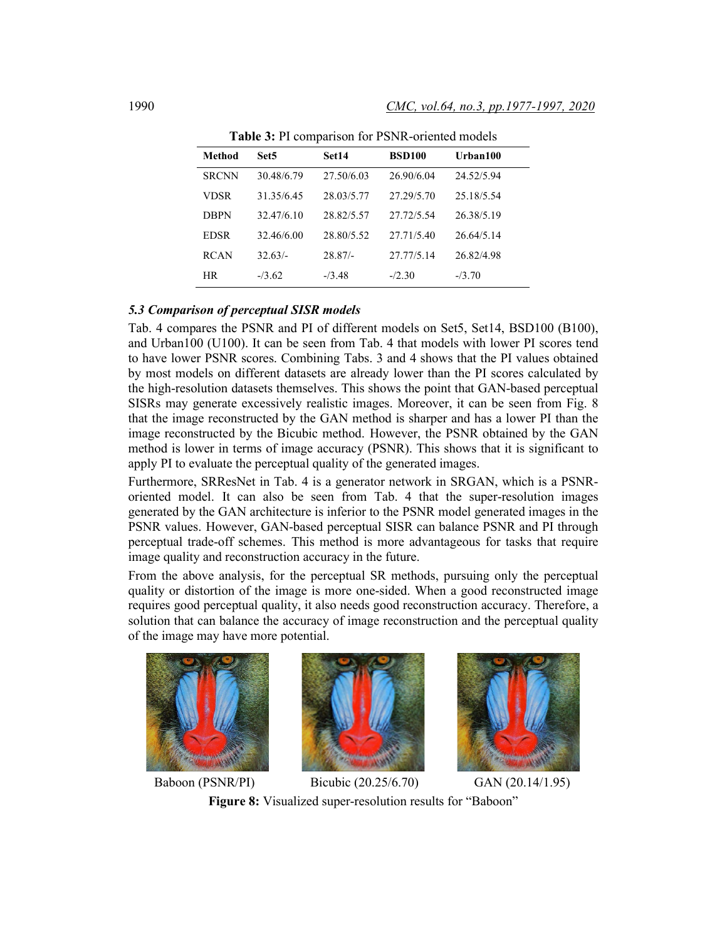| Method       | Set5       | Set14      | <b>BSD100</b> | Urban100   |
|--------------|------------|------------|---------------|------------|
| <b>SRCNN</b> | 30.48/6.79 | 27.50/6.03 | 26.90/6.04    | 24.52/5.94 |
| VDSR         | 31.35/6.45 | 28.03/5.77 | 27.29/5.70    | 25.18/5.54 |
| <b>DBPN</b>  | 32.47/6.10 | 28.82/5.57 | 27.72/5.54    | 26.38/5.19 |
| <b>EDSR</b>  | 32.46/6.00 | 28.80/5.52 | 27.71/5.40    | 26.64/5.14 |
| <b>RCAN</b>  | $32.63/-$  | $28.87/-$  | 27.77/5.14    | 26.82/4.98 |
| <b>HR</b>    | $-13.62$   | $-13.48$   | $-2.30$       | $-73.70$   |

**Table 3:** PI comparison for PSNR-oriented models

## *5.3 Comparison of perceptual SISR models*

Tab. 4 compares the PSNR and PI of different models on Set5, Set14, BSD100 (B100), and Urban100 (U100). It can be seen from Tab. 4 that models with lower PI scores tend to have lower PSNR scores. Combining Tabs. 3 and 4 shows that the PI values obtained by most models on different datasets are already lower than the PI scores calculated by the high-resolution datasets themselves. This shows the point that GAN-based perceptual SISRs may generate excessively realistic images. Moreover, it can be seen from Fig. 8 that the image reconstructed by the GAN method is sharper and has a lower PI than the image reconstructed by the Bicubic method. However, the PSNR obtained by the GAN method is lower in terms of image accuracy (PSNR). This shows that it is significant to apply PI to evaluate the perceptual quality of the generated images.

Furthermore, SRResNet in Tab. 4 is a generator network in SRGAN, which is a PSNRoriented model. It can also be seen from Tab. 4 that the super-resolution images generated by the GAN architecture is inferior to the PSNR model generated images in the PSNR values. However, GAN-based perceptual SISR can balance PSNR and PI through perceptual trade-off schemes. This method is more advantageous for tasks that require image quality and reconstruction accuracy in the future.

From the above analysis, for the perceptual SR methods, pursuing only the perceptual quality or distortion of the image is more one-sided. When a good reconstructed image requires good perceptual quality, it also needs good reconstruction accuracy. Therefore, a solution that can balance the accuracy of image reconstruction and the perceptual quality of the image may have more potential.







Baboon (PSNR/PI) Bicubic (20.25/6.70) GAN (20.14/1.95) **Figure 8:** Visualized super-resolution results for "Baboon"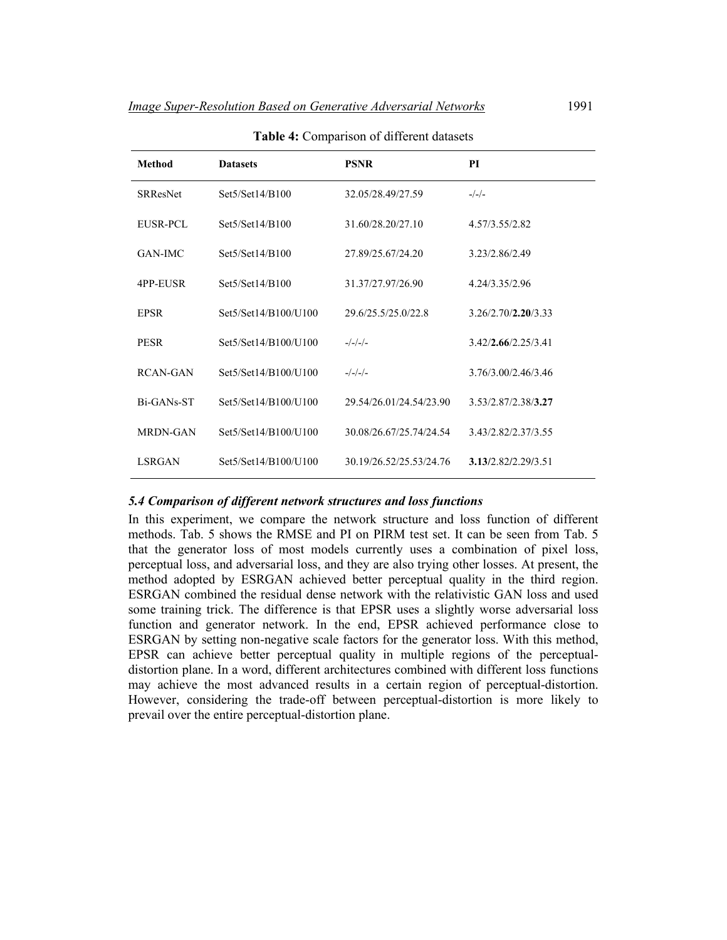| Method          | <b>Datasets</b>      | <b>PSNR</b>             | PI                  |
|-----------------|----------------------|-------------------------|---------------------|
| <b>SRResNet</b> | Set5/Set14/B100      | 32.05/28.49/27.59       | $-/-/-$             |
| EUSR-PCL        | Set5/Set14/B100      | 31.60/28.20/27.10       | 4.57/3.55/2.82      |
| <b>GAN-IMC</b>  | Set5/Set14/B100      | 27.89/25.67/24.20       | 3.23/2.86/2.49      |
| 4PP-EUSR        | Set5/Set14/B100      | 31.37/27.97/26.90       | 4.24/3.35/2.96      |
| <b>EPSR</b>     | Set5/Set14/B100/U100 | 29.6/25.5/25.0/22.8     | 3.26/2.70/2.20/3.33 |
| <b>PESR</b>     | Set5/Set14/B100/U100 | $-/-/-/-$               | 3.42/2.66/2.25/3.41 |
| RCAN-GAN        | Set5/Set14/B100/U100 | $-/-/-/-$               | 3.76/3.00/2.46/3.46 |
| Bi-GANs-ST      | Set5/Set14/B100/U100 | 29.54/26.01/24.54/23.90 | 3.53/2.87/2.38/3.27 |
| <b>MRDN-GAN</b> | Set5/Set14/B100/U100 | 30.08/26.67/25.74/24.54 | 3.43/2.82/2.37/3.55 |
| <b>LSRGAN</b>   | Set5/Set14/B100/U100 | 30 19/26 52/25 53/24 76 | 3.13/2.82/2.29/3.51 |

**Table 4:** Comparison of different datasets

### *5.4 Comparison of different network structures and loss functions*

In this experiment, we compare the network structure and loss function of different methods. Tab. 5 shows the RMSE and PI on PIRM test set. It can be seen from Tab. 5 that the generator loss of most models currently uses a combination of pixel loss, perceptual loss, and adversarial loss, and they are also trying other losses. At present, the method adopted by ESRGAN achieved better perceptual quality in the third region. ESRGAN combined the residual dense network with the relativistic GAN loss and used some training trick. The difference is that EPSR uses a slightly worse adversarial loss function and generator network. In the end, EPSR achieved performance close to ESRGAN by setting non-negative scale factors for the generator loss. With this method, EPSR can achieve better perceptual quality in multiple regions of the perceptualdistortion plane. In a word, different architectures combined with different loss functions may achieve the most advanced results in a certain region of perceptual-distortion. However, considering the trade-off between perceptual-distortion is more likely to prevail over the entire perceptual-distortion plane.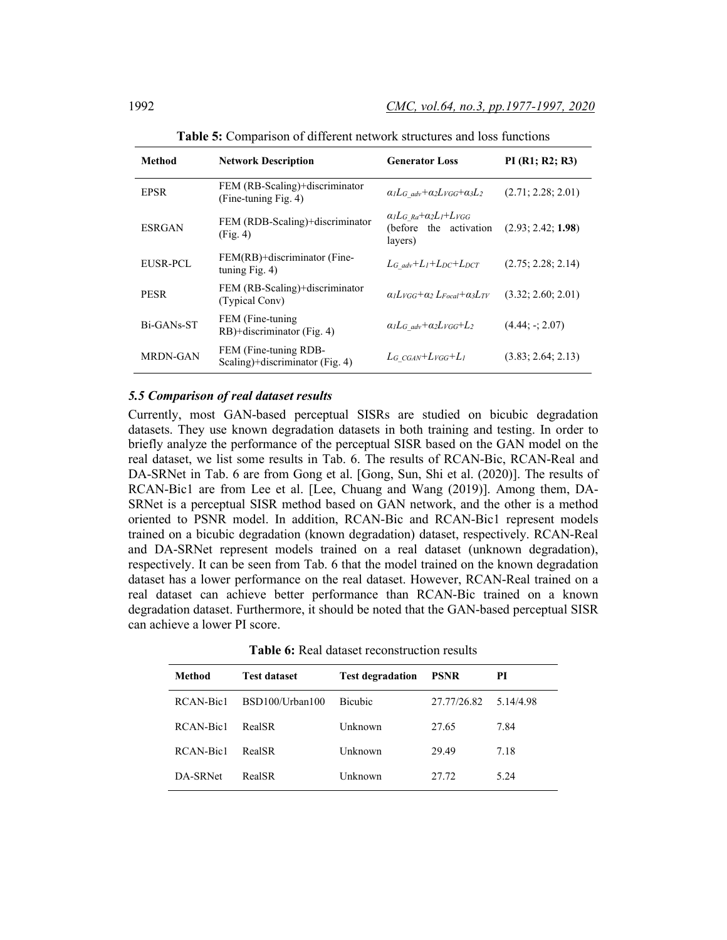| Method          | <b>Network Description</b>                               | <b>Generator Loss</b>                                                                | PI(R1; R2; R3)     |
|-----------------|----------------------------------------------------------|--------------------------------------------------------------------------------------|--------------------|
| <b>EPSR</b>     | FEM (RB-Scaling)+discriminator<br>(Fine-tuning Fig. 4)   | $a_lL_G$ adv + $a_2L_{VGG}$ + $a_3L_2$                                               | (2.71; 2.28; 2.01) |
| <b>ESRGAN</b>   | FEM (RDB-Scaling)+discriminator<br>(Fig. 4)              | $\alpha_l L_G$ $_{Ra} + \alpha_2 L_l + L_{VGG}$<br>(before the activation<br>layers) | (2.93; 2.42; 1.98) |
| EUSR-PCL        | FEM(RB)+discriminator (Fine-<br>tuning $Fig. 4$ )        | $L_G$ adv+ $L_l$ + $L_{DC}$ + $L_{DCT}$                                              | (2.75; 2.28; 2.14) |
| <b>PESR</b>     | FEM (RB-Scaling)+discriminator<br>(Typical Conv)         | $a_1L$ vgg+ $a_2L$ <sub>Eocal</sub> + $a_3L$ <sub>TV</sub>                           | (3.32; 2.60; 2.01) |
| Bi-GANs-ST      | FEM (Fine-tuning)<br>RB)+discriminator (Fig. 4)          | $\alpha_l L_G$ adv+ $\alpha_2 L_{VGG}$ + $L_2$                                       | $(4.44: -2.07)$    |
| <b>MRDN-GAN</b> | FEM (Fine-tuning RDB-<br>Scaling)+discriminator (Fig. 4) | $L_G$ cgan+ $L_{VGG}$ + $L_I$                                                        | (3.83; 2.64; 2.13) |

**Table 5:** Comparison of different network structures and loss functions

### *5.5 Comparison of real dataset results*

Currently, most GAN-based perceptual SISRs are studied on bicubic degradation datasets. They use known degradation datasets in both training and testing. In order to briefly analyze the performance of the perceptual SISR based on the GAN model on the real dataset, we list some results in Tab. 6. The results of RCAN-Bic, RCAN-Real and DA-SRNet in Tab. 6 are from Gong et al. [Gong, Sun, Shi et al. (2020)]. The results of RCAN-Bic1 are from Lee et al. [Lee, Chuang and Wang (2019)]. Among them, DA-SRNet is a perceptual SISR method based on GAN network, and the other is a method oriented to PSNR model. In addition, RCAN-Bic and RCAN-Bic1 represent models trained on a bicubic degradation (known degradation) dataset, respectively. RCAN-Real and DA-SRNet represent models trained on a real dataset (unknown degradation), respectively. It can be seen from Tab. 6 that the model trained on the known degradation dataset has a lower performance on the real dataset. However, RCAN-Real trained on a real dataset can achieve better performance than RCAN-Bic trained on a known degradation dataset. Furthermore, it should be noted that the GAN-based perceptual SISR can achieve a lower PI score.

**Table 6:** Real dataset reconstruction results

| Method    | <b>Test dataset</b> | <b>Test degradation</b> | <b>PSNR</b> | PI        |
|-----------|---------------------|-------------------------|-------------|-----------|
| RCAN-Bic1 | BSD100/Urban100     | <b>Bicubic</b>          | 27.77/26.82 | 5.14/4.98 |
| RCAN-Bic1 | <b>RealSR</b>       | Unknown                 | 27.65       | 7.84      |
| RCAN-Bic1 | <b>RealSR</b>       | Unknown                 | 29.49       | 7.18      |
| DA-SRNet  | <b>RealSR</b>       | Unknown                 | 27.72       | 5.24      |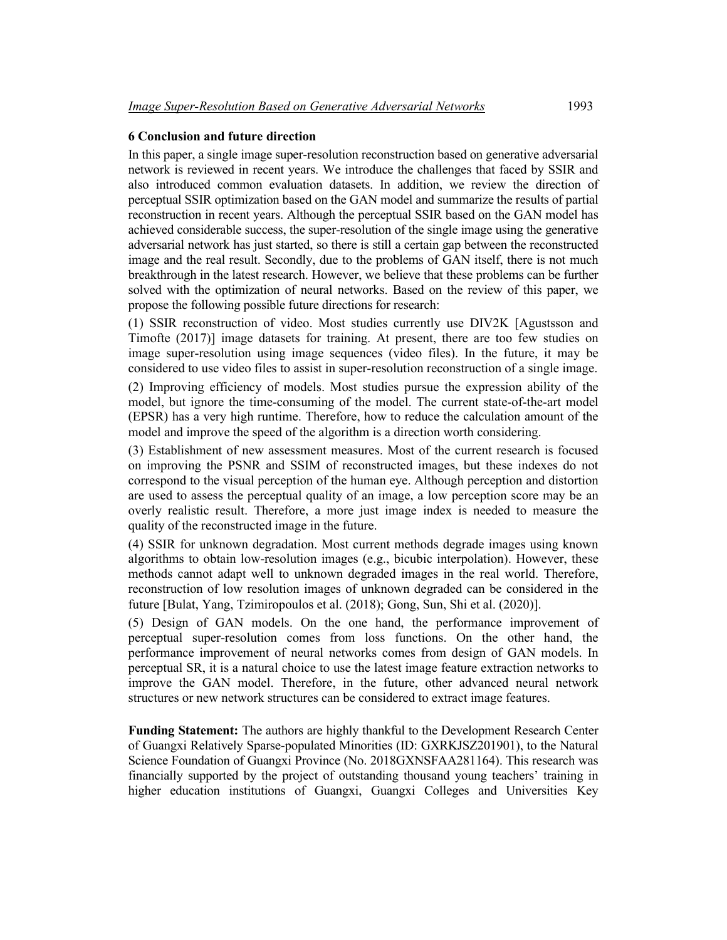## **6 Conclusion and future direction**

In this paper, a single image super-resolution reconstruction based on generative adversarial network is reviewed in recent years. We introduce the challenges that faced by SSIR and also introduced common evaluation datasets. In addition, we review the direction of perceptual SSIR optimization based on the GAN model and summarize the results of partial reconstruction in recent years. Although the perceptual SSIR based on the GAN model has achieved considerable success, the super-resolution of the single image using the generative adversarial network has just started, so there is still a certain gap between the reconstructed image and the real result. Secondly, due to the problems of GAN itself, there is not much breakthrough in the latest research. However, we believe that these problems can be further solved with the optimization of neural networks. Based on the review of this paper, we propose the following possible future directions for research:

(1) SSIR reconstruction of video. Most studies currently use DIV2K [Agustsson and Timofte (2017)] image datasets for training. At present, there are too few studies on image super-resolution using image sequences (video files). In the future, it may be considered to use video files to assist in super-resolution reconstruction of a single image. (2) Improving efficiency of models. Most studies pursue the expression ability of the model, but ignore the time-consuming of the model. The current state-of-the-art model (EPSR) has a very high runtime. Therefore, how to reduce the calculation amount of the model and improve the speed of the algorithm is a direction worth considering.

(3) Establishment of new assessment measures. Most of the current research is focused on improving the PSNR and SSIM of reconstructed images, but these indexes do not correspond to the visual perception of the human eye. Although perception and distortion are used to assess the perceptual quality of an image, a low perception score may be an overly realistic result. Therefore, a more just image index is needed to measure the quality of the reconstructed image in the future.

(4) SSIR for unknown degradation. Most current methods degrade images using known algorithms to obtain low-resolution images (e.g., bicubic interpolation). However, these methods cannot adapt well to unknown degraded images in the real world. Therefore, reconstruction of low resolution images of unknown degraded can be considered in the future [Bulat, Yang, Tzimiropoulos et al. (2018); Gong, Sun, Shi et al. (2020)].

(5) Design of GAN models. On the one hand, the performance improvement of perceptual super-resolution comes from loss functions. On the other hand, the performance improvement of neural networks comes from design of GAN models. In perceptual SR, it is a natural choice to use the latest image feature extraction networks to improve the GAN model. Therefore, in the future, other advanced neural network structures or new network structures can be considered to extract image features.

**Funding Statement:** The authors are highly thankful to the Development Research Center of Guangxi Relatively Sparse-populated Minorities (ID: GXRKJSZ201901), to the Natural Science Foundation of Guangxi Province (No. 2018GXNSFAA281164). This research was financially supported by the project of outstanding thousand young teachers' training in higher education institutions of Guangxi, Guangxi Colleges and Universities Key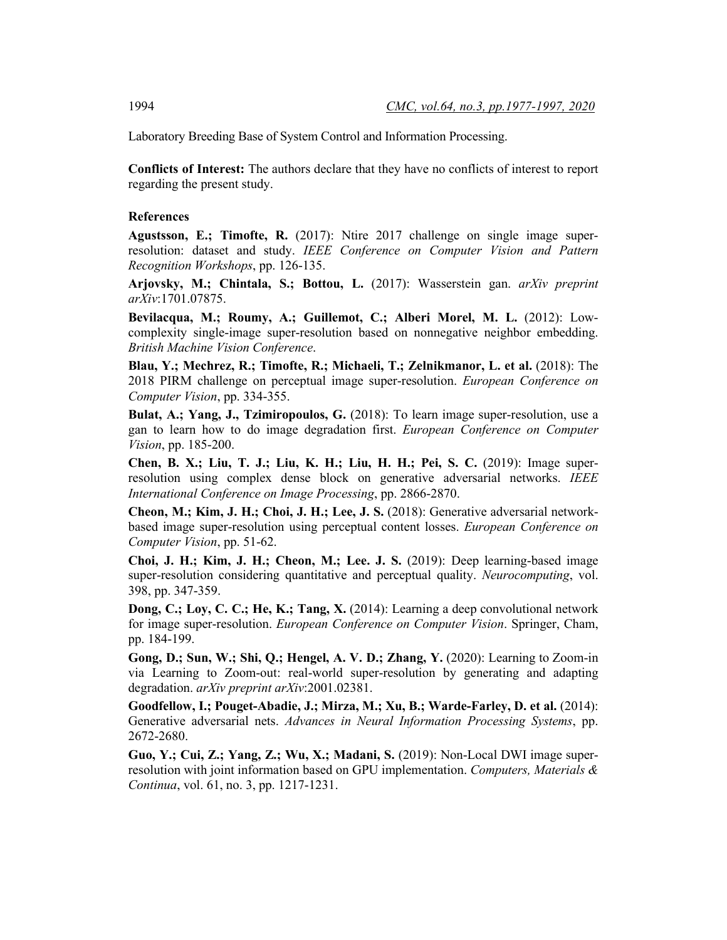Laboratory Breeding Base of System Control and Information Processing.

**Conflicts of Interest:** The authors declare that they have no conflicts of interest to report regarding the present study.

## **References**

**Agustsson, E.; Timofte, R.** (2017): Ntire 2017 challenge on single image superresolution: dataset and study. *IEEE Conference on Computer Vision and Pattern Recognition Workshops*, pp. 126-135.

**Arjovsky, M.; Chintala, S.; Bottou, L.** (2017): Wasserstein gan. *arXiv preprint arXiv*:1701.07875.

**Bevilacqua, M.; Roumy, A.; Guillemot, C.; Alberi Morel, M. L.** (2012): Lowcomplexity single-image super-resolution based on nonnegative neighbor embedding. *British Machine Vision Conference*.

**Blau, Y.; Mechrez, R.; Timofte, R.; Michaeli, T.; Zelnikmanor, L. et al.** (2018): The 2018 PIRM challenge on perceptual image super-resolution. *European Conference on Computer Vision*, pp. 334-355.

**Bulat, A.; Yang, J., Tzimiropoulos, G.** (2018): To learn image super-resolution, use a gan to learn how to do image degradation first. *European Conference on Computer Vision*, pp. 185-200.

**Chen, B. X.; Liu, T. J.; Liu, K. H.; Liu, H. H.; Pei, S. C.** (2019): Image superresolution using complex dense block on generative adversarial networks. *IEEE International Conference on Image Processing*, pp. 2866-2870.

**Cheon, M.; Kim, J. H.; Choi, J. H.; Lee, J. S.** (2018): Generative adversarial networkbased image super-resolution using perceptual content losses. *European Conference on Computer Vision*, pp. 51-62.

**Choi, J. H.; Kim, J. H.; Cheon, M.; Lee. J. S.** (2019): Deep learning-based image super-resolution considering quantitative and perceptual quality. *Neurocomputing*, vol. 398, pp. 347-359.

**Dong, C.; Loy, C. C.; He, K.; Tang, X.** (2014): Learning a deep convolutional network for image super-resolution. *European Conference on Computer Vision*. Springer, Cham, pp. 184-199.

**Gong, D.; Sun, W.; Shi, Q.; Hengel, A. V. D.; Zhang, Y.** (2020): Learning to Zoom-in via Learning to Zoom-out: real-world super-resolution by generating and adapting degradation. *arXiv preprint arXiv*:2001.02381.

**Goodfellow, I.; Pouget-Abadie, J.; Mirza, M.; Xu, B.; Warde-Farley, D. et al.** (2014): Generative adversarial nets. *Advances in Neural Information Processing Systems*, pp. 2672-2680.

**Guo, Y.; Cui, Z.; Yang, Z.; Wu, X.; Madani, S.** (2019): Non-Local DWI image superresolution with joint information based on GPU implementation. *Computers, Materials & Continua*, vol. 61, no. 3, pp. 1217-1231.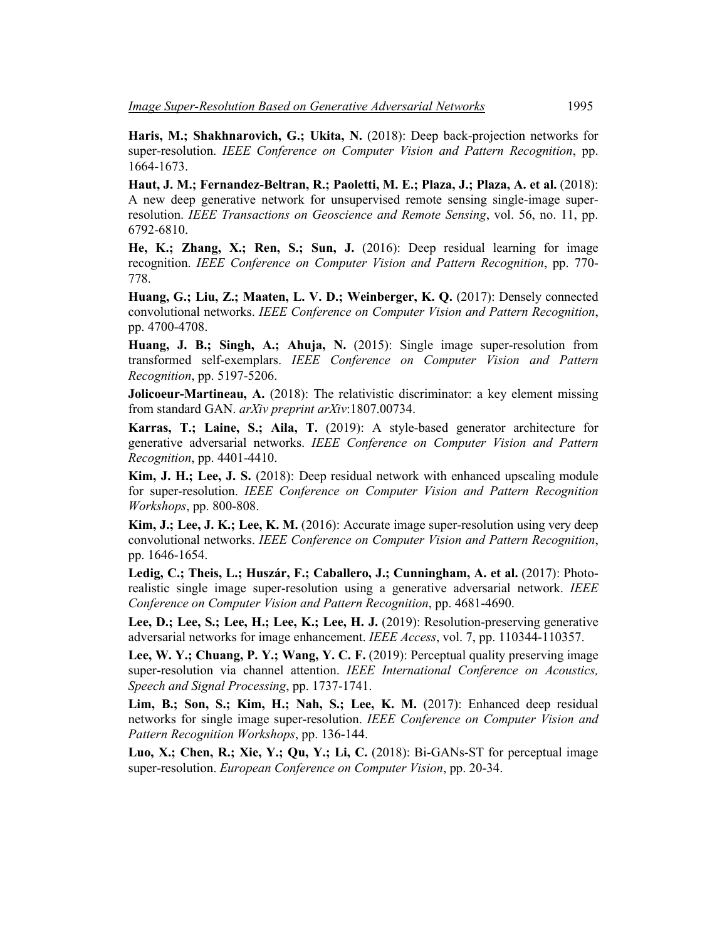**Haris, M.; Shakhnarovich, G.; Ukita, N.** (2018): Deep back-projection networks for super-resolution. *IEEE Conference on Computer Vision and Pattern Recognition*, pp. 1664-1673.

**Haut, J. M.; Fernandez-Beltran, R.; Paoletti, M. E.; Plaza, J.; Plaza, A. et al.** (2018): A new deep generative network for unsupervised remote sensing single-image superresolution. *IEEE Transactions on Geoscience and Remote Sensing*, vol. 56, no. 11, pp. 6792-6810.

**He, K.; Zhang, X.; Ren, S.; Sun, J.** (2016): Deep residual learning for image recognition. *IEEE Conference on Computer Vision and Pattern Recognition*, pp. 770- 778.

**Huang, G.; Liu, Z.; Maaten, L. V. D.; Weinberger, K. Q.** (2017): Densely connected convolutional networks. *IEEE Conference on Computer Vision and Pattern Recognition*, pp. 4700-4708.

**Huang, J. B.; Singh, A.; Ahuja, N.** (2015): Single image super-resolution from transformed self-exemplars. *IEEE Conference on Computer Vision and Pattern Recognition*, pp. 5197-5206.

**Jolicoeur-Martineau, A.** (2018): The relativistic discriminator: a key element missing from standard GAN. *arXiv preprint arXiv*:1807.00734.

**Karras, T.; Laine, S.; Aila, T.** (2019): A style-based generator architecture for generative adversarial networks. *IEEE Conference on Computer Vision and Pattern Recognition*, pp. 4401-4410.

**Kim, J. H.; Lee, J. S.** (2018): Deep residual network with enhanced upscaling module for super-resolution. *IEEE Conference on Computer Vision and Pattern Recognition Workshops*, pp. 800-808.

**Kim, J.; Lee, J. K.; Lee, K. M.** (2016): Accurate image super-resolution using very deep convolutional networks. *IEEE Conference on Computer Vision and Pattern Recognition*, pp. 1646-1654.

**Ledig, C.; Theis, L.; Huszár, F.; Caballero, J.; Cunningham, A. et al.** (2017): Photorealistic single image super-resolution using a generative adversarial network. *IEEE Conference on Computer Vision and Pattern Recognition*, pp. 4681-4690.

**Lee, D.; Lee, S.; Lee, H.; Lee, K.; Lee, H. J.** (2019): Resolution-preserving generative adversarial networks for image enhancement. *IEEE Access*, vol. 7, pp. 110344-110357.

**Lee, W. Y.; Chuang, P. Y.; Wang, Y. C. F.** (2019): Perceptual quality preserving image super-resolution via channel attention. *IEEE International Conference on Acoustics, Speech and Signal Processing*, pp. 1737-1741.

Lim, B.; Son, S.; Kim, H.; Nah, S.; Lee, K. M. (2017): Enhanced deep residual networks for single image super-resolution. *IEEE Conference on Computer Vision and Pattern Recognition Workshops*, pp. 136-144.

**Luo, X.; Chen, R.; Xie, Y.; Qu, Y.; Li, C.** (2018): Bi-GANs-ST for perceptual image super-resolution. *European Conference on Computer Vision*, pp. 20-34.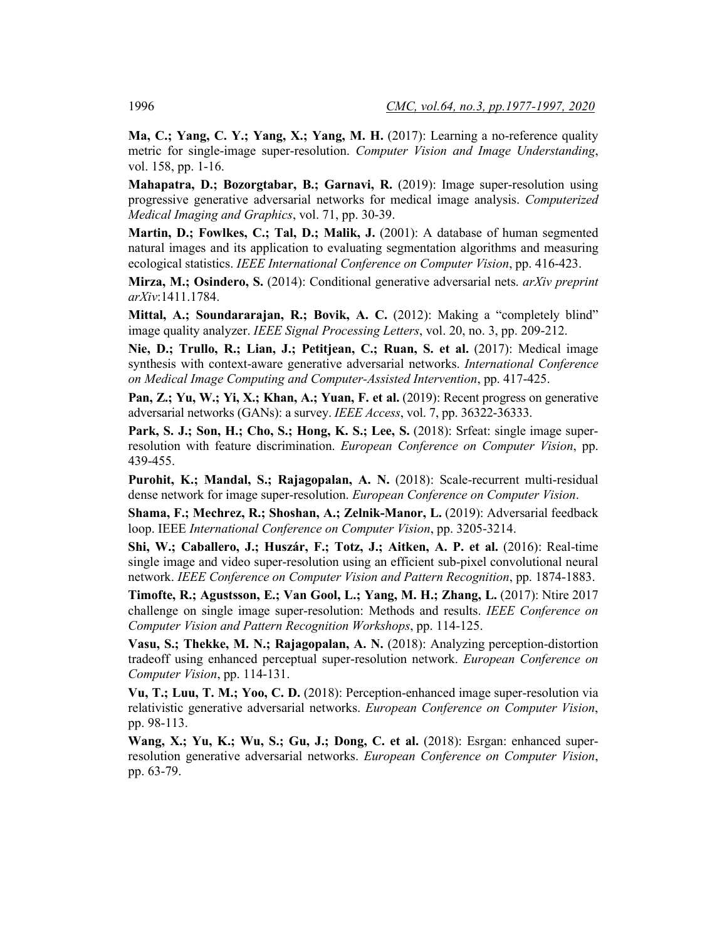**Ma, C.; Yang, C. Y.; Yang, X.; Yang, M. H.** (2017): Learning a no-reference quality metric for single-image super-resolution. *Computer Vision and Image Understanding*, vol. 158, pp. 1-16.

**Mahapatra, D.; Bozorgtabar, B.; Garnavi, R.** (2019): Image super-resolution using progressive generative adversarial networks for medical image analysis. *Computerized Medical Imaging and Graphics*, vol. 71, pp. 30-39.

**Martin, D.; Fowlkes, C.; Tal, D.; Malik, J.** (2001): A database of human segmented natural images and its application to evaluating segmentation algorithms and measuring ecological statistics. *IEEE International Conference on Computer Vision*, pp. 416-423.

**Mirza, M.; Osindero, S.** (2014): Conditional generative adversarial nets. *arXiv preprint arXiv*:1411.1784.

**Mittal, A.; Soundararajan, R.; Bovik, A. C.** (2012): Making a "completely blind" image quality analyzer. *IEEE Signal Processing Letters*, vol. 20, no. 3, pp. 209-212.

**Nie, D.; Trullo, R.; Lian, J.; Petitjean, C.; Ruan, S. et al.** (2017): Medical image synthesis with context-aware generative adversarial networks. *International Conference on Medical Image Computing and Computer-Assisted Intervention*, pp. 417-425.

**Pan, Z.; Yu, W.; Yi, X.; Khan, A.; Yuan, F. et al.** (2019): Recent progress on generative adversarial networks (GANs): a survey. *IEEE Access*, vol. 7, pp. 36322-36333.

**Park, S. J.; Son, H.; Cho, S.; Hong, K. S.; Lee, S.** (2018): Srfeat: single image superresolution with feature discrimination. *European Conference on Computer Vision*, pp. 439-455.

**Purohit, K.; Mandal, S.; Rajagopalan, A. N.** (2018): Scale-recurrent multi-residual dense network for image super-resolution. *European Conference on Computer Vision*.

**Shama, F.; Mechrez, R.; Shoshan, A.; Zelnik-Manor, L.** (2019): Adversarial feedback loop. IEEE *International Conference on Computer Vision*, pp. 3205-3214.

**Shi, W.; Caballero, J.; Huszár, F.; Totz, J.; Aitken, A. P. et al.** (2016): Real-time single image and video super-resolution using an efficient sub-pixel convolutional neural network. *IEEE Conference on Computer Vision and Pattern Recognition*, pp. 1874-1883.

**Timofte, R.; Agustsson, E.; Van Gool, L.; Yang, M. H.; Zhang, L.** (2017): Ntire 2017 challenge on single image super-resolution: Methods and results. *IEEE Conference on Computer Vision and Pattern Recognition Workshops*, pp. 114-125.

**Vasu, S.; Thekke, M. N.; Rajagopalan, A. N.** (2018): Analyzing perception-distortion tradeoff using enhanced perceptual super-resolution network. *European Conference on Computer Vision*, pp. 114-131.

**Vu, T.; Luu, T. M.; Yoo, C. D.** (2018): Perception-enhanced image super-resolution via relativistic generative adversarial networks. *European Conference on Computer Vision*, pp. 98-113.

**Wang, X.; Yu, K.; Wu, S.; Gu, J.; Dong, C. et al.** (2018): Esrgan: enhanced superresolution generative adversarial networks. *European Conference on Computer Vision*, pp. 63-79.